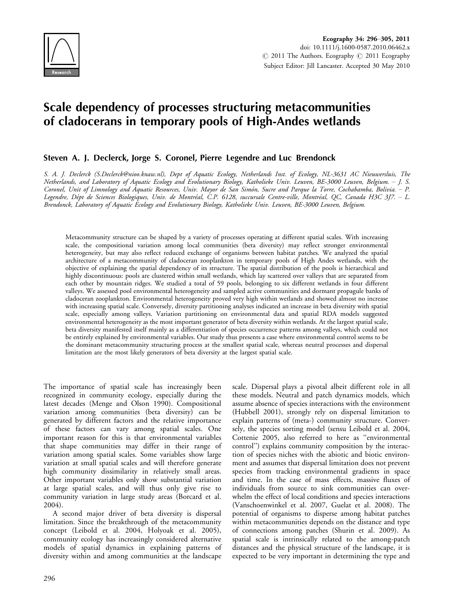

# Scale dependency of processes structuring metacommunities of cladocerans in temporary pools of High-Andes wetlands

# Steven A. J. Declerck, Jorge S. Coronel, Pierre Legendre and Luc Brendonck

S. A. J. Declerck (S.Declerck@nioo.knaw.nl), Dept of Aquatic Ecology, Netherlands Inst. of Ecology, NL-3631 AC Nieuwersluis, The Netherlands, and Laboratory of Aquatic Ecology and Evolutionary Biology, Katholieke Univ. Leuven, BE-3000 Leuven, Belgium. J. S. Coronel, Unit of Limnology and Aquatic Resources, Univ. Mayor de San Simón, Sucre and Parque la Torre, Cochabamba, Bolivia. - P. Legendre, Dépt de Sciences Biologiques, Univ. de Montréal, C.P. 6128, succursale Centre-ville, Montréal, QC, Canada H3C 3J7. – L. Brendonck, Laboratory of Aquatic Ecology and Evolutionary Biology, Katholieke Univ. Leuven, BE-3000 Leuven, Belgium.

Metacommunity structure can be shaped by a variety of processes operating at different spatial scales. With increasing scale, the compositional variation among local communities (beta diversity) may reflect stronger environmental heterogeneity, but may also reflect reduced exchange of organisms between habitat patches. We analyzed the spatial architecture of a metacommunity of cladoceran zooplankton in temporary pools of High Andes wetlands, with the objective of explaining the spatial dependency of its structure. The spatial distribution of the pools is hierarchical and highly discontinuous: pools are clustered within small wetlands, which lay scattered over valleys that are separated from each other by mountain ridges. We studied a total of 59 pools, belonging to six different wetlands in four different valleys. We assessed pool environmental heterogeneity and sampled active communities and dormant propagule banks of cladoceran zooplankton. Environmental heterogeneity proved very high within wetlands and showed almost no increase with increasing spatial scale. Conversely, diversity partitioning analyses indicated an increase in beta diversity with spatial scale, especially among valleys. Variation partitioning on environmental data and spatial RDA models suggested environmental heterogeneity as the most important generator of beta diversity within wetlands. At the largest spatial scale, beta diversity manifested itself mainly as a differentiation of species occurrence patterns among valleys, which could not be entirely explained by environmental variables. Our study thus presents a case where environmental control seems to be the dominant metacommunity structuring process at the smallest spatial scale, whereas neutral processes and dispersal limitation are the most likely generators of beta diversity at the largest spatial scale.

The importance of spatial scale has increasingly been recognized in community ecology, especially during the latest decades (Menge and Olson 1990). Compositional variation among communities (beta diversity) can be generated by different factors and the relative importance of these factors can vary among spatial scales. One important reason for this is that environmental variables that shape communities may differ in their range of variation among spatial scales. Some variables show large variation at small spatial scales and will therefore generate high community dissimilarity in relatively small areas. Other important variables only show substantial variation at large spatial scales, and will thus only give rise to community variation in large study areas (Borcard et al. 2004).

A second major driver of beta diversity is dispersal limitation. Since the breakthrough of the metacommunity concept (Leibold et al. 2004, Holyoak et al. 2005), community ecology has increasingly considered alternative models of spatial dynamics in explaining patterns of diversity within and among communities at the landscape

scale. Dispersal plays a pivotal albeit different role in all these models. Neutral and patch dynamics models, which assume absence of species interactions with the environment (Hubbell 2001), strongly rely on dispersal limitation to explain patterns of (meta-) community structure. Conversely, the species sorting model (sensu Leibold et al. 2004, Cottenie 2005, also referred to here as ''environmental control'') explains community composition by the interaction of species niches with the abiotic and biotic environment and assumes that dispersal limitation does not prevent species from tracking environmental gradients in space and time. In the case of mass effects, massive fluxes of individuals from source to sink communities can overwhelm the effect of local conditions and species interactions (Vanschoenwinkel et al. 2007, Guelat et al. 2008). The potential of organisms to disperse among habitat patches within metacommunities depends on the distance and type of connections among patches (Shurin et al. 2009). As spatial scale is intrinsically related to the among-patch distances and the physical structure of the landscape, it is expected to be very important in determining the type and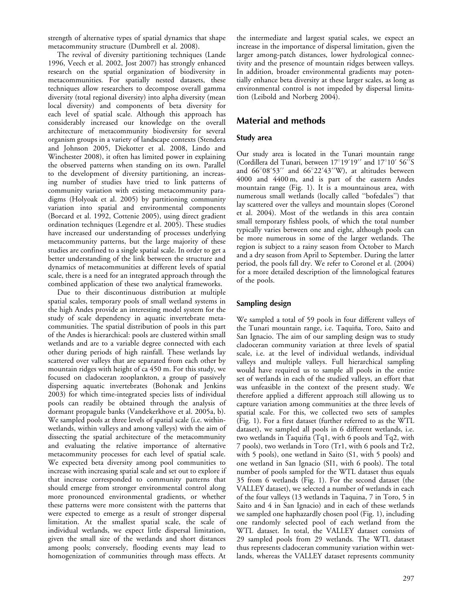strength of alternative types of spatial dynamics that shape metacommunity structure (Dumbrell et al. 2008).

The revival of diversity partitioning techniques (Lande 1996, Veech et al. 2002, Jost 2007) has strongly enhanced research on the spatial organization of biodiversity in metacommunities. For spatially nested datasets, these techniques allow researchers to decompose overall gamma diversity (total regional diversity) into alpha diversity (mean local diversity) and components of beta diversity for each level of spatial scale. Although this approach has considerably increased our knowledge on the overall architecture of metacommunity biodiversity for several organism groups in a variety of landscape contexts (Stendera and Johnson 2005, Diekotter et al. 2008, Lindo and Winchester 2008), it often has limited power in explaining the observed patterns when standing on its own. Parallel to the development of diversity partitioning, an increasing number of studies have tried to link patterns of community variation with existing metacommunity paradigms (Holyoak et al. 2005) by partitioning community variation into spatial and environmental components (Borcard et al. 1992, Cottenie 2005), using direct gradient ordination techniques (Legendre et al. 2005). These studies have increased our understanding of processes underlying metacommunity patterns, but the large majority of these studies are confined to a single spatial scale. In order to get a better understanding of the link between the structure and dynamics of metacommunities at different levels of spatial scale, there is a need for an integrated approach through the combined application of these two analytical frameworks.

Due to their discontinuous distribution at multiple spatial scales, temporary pools of small wetland systems in the high Andes provide an interesting model system for the study of scale dependency in aquatic invertebrate metacommunities. The spatial distribution of pools in this part of the Andes is hierarchical: pools are clustered within small wetlands and are to a variable degree connected with each other during periods of high rainfall. These wetlands lay scattered over valleys that are separated from each other by mountain ridges with height of ca 450 m. For this study, we focused on cladoceran zooplankton, a group of passively dispersing aquatic invertebrates (Bohonak and Jenkins 2003) for which time-integrated species lists of individual pools can readily be obtained through the analysis of dormant propagule banks (Vandekerkhove et al. 2005a, b). We sampled pools at three levels of spatial scale (i.e. withinwetlands, within valleys and among valleys) with the aim of dissecting the spatial architecture of the metacommunity and evaluating the relative importance of alternative metacommunity processes for each level of spatial scale. We expected beta diversity among pool communities to increase with increasing spatial scale and set out to explore if that increase corresponded to community patterns that should emerge from stronger environmental control along more pronounced environmental gradients, or whether these patterns were more consistent with the patterns that were expected to emerge as a result of stronger dispersal limitation. At the smallest spatial scale, the scale of individual wetlands, we expect little dispersal limitation, given the small size of the wetlands and short distances among pools; conversely, flooding events may lead to homogenization of communities through mass effects. At

the intermediate and largest spatial scales, we expect an increase in the importance of dispersal limitation, given the larger among-patch distances, lower hydrological connectivity and the presence of mountain ridges between valleys. In addition, broader environmental gradients may potentially enhance beta diversity at these larger scales, as long as environmental control is not impeded by dispersal limitation (Leibold and Norberg 2004).

# Material and methods

## Study area

Our study area is located in the Tunari mountain range (Cordillera del Tunari, between  $17^{\circ}19'19''$  and  $17^{\circ}10'$  56<sup>°</sup>S and  $66^{\circ}08'53''$  and  $66^{\circ}22'43''W$ ), at altitudes between 4000 and 4400 m, and is part of the eastern Andes mountain range (Fig. 1). It is a mountainous area, with numerous small wetlands (locally called ''bofedales'') that lay scattered over the valleys and mountain slopes (Coronel et al. 2004). Most of the wetlands in this area contain small temporary fishless pools, of which the total number typically varies between one and eight, although pools can be more numerous in some of the larger wetlands. The region is subject to a rainy season from October to March and a dry season from April to September. During the latter period, the pools fall dry. We refer to Coronel et al. (2004) for a more detailed description of the limnological features of the pools.

## Sampling design

We sampled a total of 59 pools in four different valleys of the Tunari mountain range, i.e. Taquiña, Toro, Saito and San Ignacio. The aim of our sampling design was to study cladoceran community variation at three levels of spatial scale, i.e. at the level of individual wetlands, individual valleys and multiple valleys. Full hierarchical sampling would have required us to sample all pools in the entire set of wetlands in each of the studied valleys, an effort that was unfeasible in the context of the present study. We therefore applied a different approach still allowing us to capture variation among communities at the three levels of spatial scale. For this, we collected two sets of samples (Fig. 1). For a first dataset (further referred to as the WTL dataset), we sampled all pools in 6 different wetlands, i.e. two wetlands in Taquiña (Tq1, with 6 pools and Tq2, with 7 pools), two wetlands in Toro (Tr1, with 6 pools and Tr2, with 5 pools), one wetland in Saito (S1, with 5 pools) and one wetland in San Ignacio (SI1, with 6 pools). The total number of pools sampled for the WTL dataset thus equals 35 from 6 wetlands (Fig. 1). For the second dataset (the VALLEY dataset), we selected a number of wetlands in each of the four valleys (13 wetlands in Taquina, 7 in Toro, 5 in Saito and 4 in San Ignacio) and in each of these wetlands we sampled one haphazardly chosen pool (Fig. 1), including one randomly selected pool of each wetland from the WTL dataset. In total, the VALLEY dataset consists of 29 sampled pools from 29 wetlands. The WTL dataset thus represents cladoceran community variation within wetlands, whereas the VALLEY dataset represents community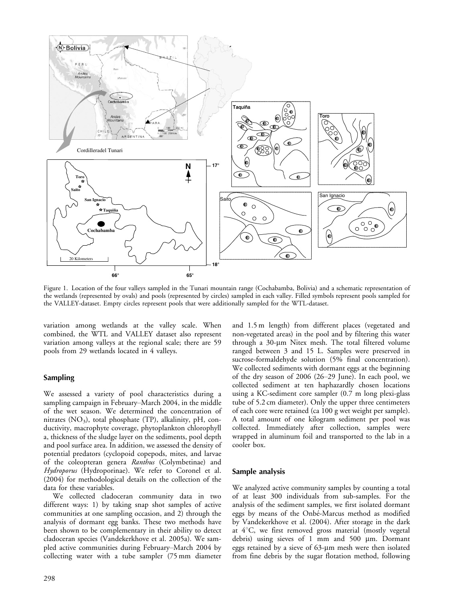

Figure 1. Location of the four valleys sampled in the Tunari mountain range (Cochabamba, Bolivia) and a schematic representation of the wetlands (represented by ovals) and pools (represented by circles) sampled in each valley. Filled symbols represent pools sampled for the VALLEY-dataset. Empty circles represent pools that were additionally sampled for the WTL-dataset.

variation among wetlands at the valley scale. When combined, the WTL and VALLEY dataset also represent variation among valleys at the regional scale; there are 59 pools from 29 wetlands located in 4 valleys.

#### Sampling

We assessed a variety of pool characteristics during a sampling campaign in February–March 2004, in the middle of the wet season. We determined the concentration of nitrates  $(NO_3)$ , total phosphate (TP), alkalinity, pH, conductivity, macrophyte coverage, phytoplankton chlorophyll a, thickness of the sludge layer on the sediments, pool depth and pool surface area. In addition, we assessed the density of potential predators (cyclopoid copepods, mites, and larvae of the coleopteran genera Ranthus (Colymbetinae) and Hydroporus (Hydroporinae). We refer to Coronel et al. (2004) for methodological details on the collection of the data for these variables.

We collected cladoceran community data in two different ways: 1) by taking snap shot samples of active communities at one sampling occasion, and 2) through the analysis of dormant egg banks. These two methods have been shown to be complementary in their ability to detect cladoceran species (Vandekerkhove et al. 2005a). We sampled active communities during February-March 2004 by collecting water with a tube sampler (75 mm diameter and 1.5 m length) from different places (vegetated and non-vegetated areas) in the pool and by filtering this water through a  $30$ - $\mu$ m Nitex mesh. The total filtered volume ranged between 3 and 15 L. Samples were preserved in sucrose-formaldehyde solution (5% final concentration). We collected sediments with dormant eggs at the beginning of the dry season of 2006 (2629 June). In each pool, we collected sediment at ten haphazardly chosen locations using a KC-sediment core sampler (0.7 m long plexi-glass tube of 5.2 cm diameter). Only the upper three centimeters of each core were retained (ca 100 g wet weight per sample). A total amount of one kilogram sediment per pool was collected. Immediately after collection, samples were wrapped in aluminum foil and transported to the lab in a cooler box.

#### Sample analysis

We analyzed active community samples by counting a total of at least 300 individuals from sub-samples. For the analysis of the sediment samples, we first isolated dormant eggs by means of the Onbé-Marcus method as modified by Vandekerkhove et al. (2004). After storage in the dark at  $4^{\circ}$ C, we first removed gross material (mostly vegetal debris) using sieves of 1 mm and 500  $\mu$ m. Dormant eggs retained by a sieve of  $63$ - $\mu$ m mesh were then isolated from fine debris by the sugar flotation method, following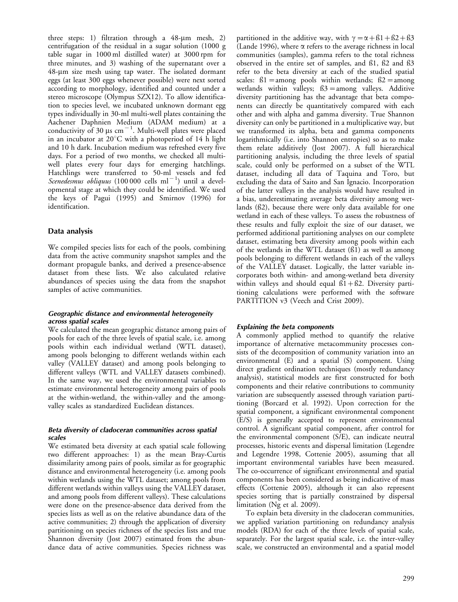three steps: 1) filtration through a  $48-\mu m$  mesh, 2) centrifugation of the residual in a sugar solution (1000 g table sugar in 1000 ml distilled water) at 3000 rpm for three minutes, and 3) washing of the supernatant over a  $48-\mu m$  size mesh using tap water. The isolated dormant eggs (at least 300 eggs whenever possible) were next sorted according to morphology, identified and counted under a stereo microscope (Olympus SZX12). To allow identification to species level, we incubated unknown dormant egg types individually in 30-ml multi-well plates containing the Aachener Daphnien Medium (ADAM medium) at a conductivity of 30  $\mu$ s cm<sup>-1</sup>. Multi-well plates were placed in an incubator at  $20^{\circ}$ C with a photoperiod of 14 h light and 10 h dark. Incubation medium was refreshed every five days. For a period of two months, we checked all multiwell plates every four days for emerging hatchlings. Hatchlings were transferred to 50-ml vessels and fed Scenedesmus obliquus (100 000 cells ml<sup>-1</sup>) until a developmental stage at which they could be identified. We used the keys of Pagui (1995) and Smirnov (1996) for identification.

#### Data analysis

We compiled species lists for each of the pools, combining data from the active community snapshot samples and the dormant propagule banks, and derived a presence-absence dataset from these lists. We also calculated relative abundances of species using the data from the snapshot samples of active communities.

#### Geographic distance and environmental heterogeneity across spatial scales

We calculated the mean geographic distance among pairs of pools for each of the three levels of spatial scale, i.e. among pools within each individual wetland (WTL dataset), among pools belonging to different wetlands within each valley (VALLEY dataset) and among pools belonging to different valleys (WTL and VALLEY datasets combined). In the same way, we used the environmental variables to estimate environmental heterogeneity among pairs of pools at the within-wetland, the within-valley and the amongvalley scales as standardized Euclidean distances.

#### Beta diversity of cladoceran communities across spatial scales

We estimated beta diversity at each spatial scale following two different approaches: 1) as the mean Bray-Curtis dissimilarity among pairs of pools, similar as for geographic distance and environmental heterogeneity (i.e. among pools within wetlands using the WTL dataset; among pools from different wetlands within valleys using the VALLEY dataset, and among pools from different valleys). These calculations were done on the presence-absence data derived from the species lists as well as on the relative abundance data of the active communities; 2) through the application of diversity partitioning on species richness of the species lists and true Shannon diversity (Jost 2007) estimated from the abundance data of active communities. Species richness was

partitioned in the additive way, with  $\gamma = \alpha + \beta_1 + \beta_2 + \beta_3$ (Lande 1996), where  $\alpha$  refers to the average richness in local communities (samples), gamma refers to the total richness observed in the entire set of samples, and ß1, ß2 and ß3 refer to the beta diversity at each of the studied spatial scales:  $ß1 = among$  pools within wetlands;  $ß2 = among$ wetlands within valleys;  $\beta$ 3 = among valleys. Additive diversity partitioning has the advantage that beta components can directly be quantitatively compared with each other and with alpha and gamma diversity. True Shannon diversity can only be partitioned in a multiplicative way, but we transformed its alpha, beta and gamma components logarithmically (i.e. into Shannon entropies) so as to make them relate additively (Jost 2007). A full hierarchical partitioning analysis, including the three levels of spatial scale, could only be performed on a subset of the WTL dataset, including all data of Taquina and Toro, but excluding the data of Saito and San Ignacio. Incorporation of the latter valleys in the analysis would have resulted in a bias, underestimating average beta diversity among wetlands (ß2), because there were only data available for one wetland in each of these valleys. To assess the robustness of these results and fully exploit the size of our dataset, we performed additional partitioning analyses on our complete dataset, estimating beta diversity among pools within each of the wetlands in the WTL dataset (ß1) as well as among pools belonging to different wetlands in each of the valleys of the VALLEY dataset. Logically, the latter variable incorporates both within- and among-wetland beta diversity within valleys and should equal  $61 + 62$ . Diversity partitioning calculations were performed with the software PARTITION v3 (Veech and Crist 2009).

#### Explaining the beta components

A commonly applied method to quantify the relative importance of alternative metacommunity processes consists of the decomposition of community variation into an environmental (E) and a spatial (S) component. Using direct gradient ordination techniques (mostly redundancy analysis), statistical models are first constructed for both components and their relative contributions to community variation are subsequently assessed through variation partitioning (Borcard et al. 1992). Upon correction for the spatial component, a significant environmental component (E/S) is generally accepted to represent environmental control. A significant spatial component, after control for the environmental component (S/E), can indicate neutral processes, historic events and dispersal limitation (Legendre and Legendre 1998, Cottenie 2005), assuming that all important environmental variables have been measured. The co-occurrence of significant environmental and spatial components has been considered as being indicative of mass effects (Cottenie 2005), although it can also represent species sorting that is partially constrained by dispersal limitation (Ng et al. 2009).

To explain beta diversity in the cladoceran communities, we applied variation partitioning on redundancy analysis models (RDA) for each of the three levels of spatial scale, separately. For the largest spatial scale, i.e. the inter-valley scale, we constructed an environmental and a spatial model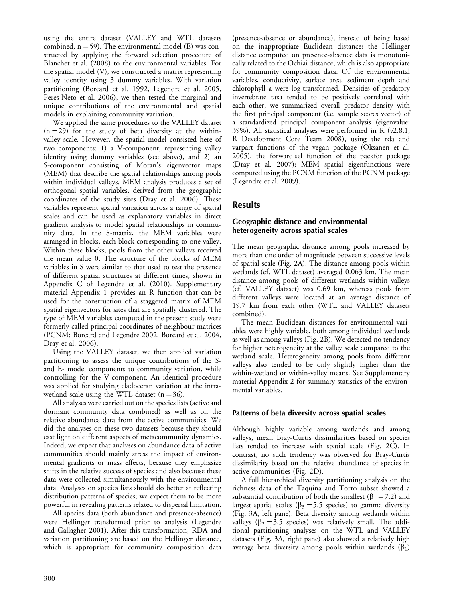using the entire dataset (VALLEY and WTL datasets combined,  $n = 59$ ). The environmental model (E) was constructed by applying the forward selection procedure of Blanchet et al. (2008) to the environmental variables. For the spatial model (V), we constructed a matrix representing valley identity using 3 dummy variables. With variation partitioning (Borcard et al. 1992, Legendre et al. 2005, Peres-Neto et al. 2006), we then tested the marginal and unique contributions of the environmental and spatial models in explaining community variation.

We applied the same procedures to the VALLEY dataset  $(n=29)$  for the study of beta diversity at the withinvalley scale. However, the spatial model consisted here of two components: 1) a V-component, representing valley identity using dummy variables (see above), and 2) an S-component consisting of Moran's eigenvector maps (MEM) that describe the spatial relationships among pools within individual valleys. MEM analysis produces a set of orthogonal spatial variables, derived from the geographic coordinates of the study sites (Dray et al. 2006). These variables represent spatial variation across a range of spatial scales and can be used as explanatory variables in direct gradient analysis to model spatial relationships in community data. In the S-matrix, the MEM variables were arranged in blocks, each block corresponding to one valley. Within these blocks, pools from the other valleys received the mean value 0. The structure of the blocks of MEM variables in S were similar to that used to test the presence of different spatial structures at different times, shown in Appendix C of Legendre et al. (2010). Supplementary material Appendix 1 provides an R function that can be used for the construction of a staggered matrix of MEM spatial eigenvectors for sites that are spatially clustered. The type of MEM variables computed in the present study were formerly called principal coordinates of neighbour matrices (PCNM: Borcard and Legendre 2002, Borcard et al. 2004, Dray et al. 2006).

Using the VALLEY dataset, we then applied variation partitioning to assess the unique contributions of the Sand E- model components to community variation, while controlling for the V-component. An identical procedure was applied for studying cladoceran variation at the intrawetland scale using the WTL dataset  $(n=36)$ .

All analyses were carried out on the species lists (active and dormant community data combined) as well as on the relative abundance data from the active communities. We did the analyses on these two datasets because they should cast light on different aspects of metacommunity dynamics. Indeed, we expect that analyses on abundance data of active communities should mainly stress the impact of environmental gradients or mass effects, because they emphasize shifts in the relative success of species and also because these data were collected simultaneously with the environmental data. Analyses on species lists should do better at reflecting distribution patterns of species; we expect them to be more powerful in revealing patterns related to dispersal limitation.

All species data (both abundance and presence-absence) were Hellinger transformed prior to analysis (Legendre and Gallagher 2001). After this transformation, RDA and variation partitioning are based on the Hellinger distance, which is appropriate for community composition data

(presence-absence or abundance), instead of being based on the inappropriate Euclidean distance; the Hellinger distance computed on presence-absence data is monotonically related to the Ochiai distance, which is also appropriate for community composition data. Of the environmental variables, conductivity, surface area, sediment depth and chlorophyll a were log-transformed. Densities of predatory invertebrate taxa tended to be positively correlated with each other; we summarized overall predator density with the first principal component (i.e. sample scores vector) of a standardized principal component analysis (eigenvalue: 39%). All statistical analyses were performed in R (v2.8.1; R Development Core Team 2008), using the rda and varpart functions of the vegan package (Oksanen et al. 2005), the forward.sel function of the packfor package (Dray et al. 2007); MEM spatial eigenfunctions were computed using the PCNM function of the PCNM package (Legendre et al. 2009).

# Results

### Geographic distance and environmental heterogeneity across spatial scales

The mean geographic distance among pools increased by more than one order of magnitude between successive levels of spatial scale (Fig. 2A). The distance among pools within wetlands (cf. WTL dataset) averaged 0.063 km. The mean distance among pools of different wetlands within valleys (cf. VALLEY dataset) was 0.69 km, whereas pools from different valleys were located at an average distance of 19.7 km from each other (WTL and VALLEY datasets combined).

The mean Euclidean distances for environmental variables were highly variable, both among individual wetlands as well as among valleys (Fig. 2B). We detected no tendency for higher heterogeneity at the valley scale compared to the wetland scale. Heterogeneity among pools from different valleys also tended to be only slightly higher than the within-wetland or within-valley means. See Supplementary material Appendix 2 for summary statistics of the environmental variables.

## Patterns of beta diversity across spatial scales

Although highly variable among wetlands and among valleys, mean Bray-Curtis dissimilarities based on species lists tended to increase with spatial scale (Fig. 2C). In contrast, no such tendency was observed for Bray-Curtis dissimilarity based on the relative abundance of species in active communities (Fig. 2D).

A full hierarchical diversity partitioning analysis on the richness data of the Taquina and Torro subset showed a substantial contribution of both the smallest ( $\beta_1$  = 7.2) and largest spatial scales ( $\beta_3$  = 5.5 species) to gamma diversity (Fig. 3A, left pane). Beta diversity among wetlands within valleys ( $\beta_2$  = 3.5 species) was relatively small. The additional partitioning analyses on the WTL and VALLEY datasets (Fig. 3A, right pane) also showed a relatively high average beta diversity among pools within wetlands  $(\beta_1)$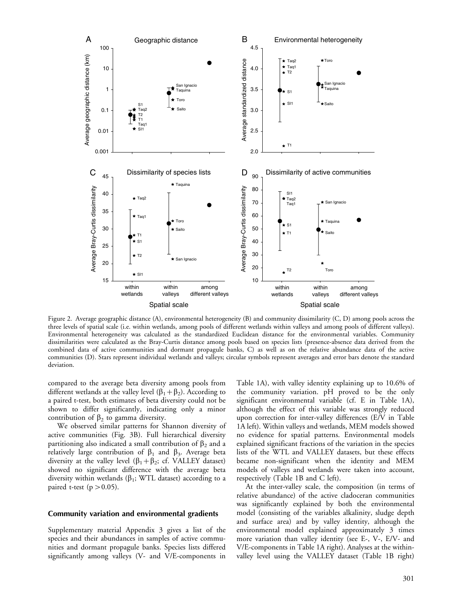

Figure 2. Average geographic distance (A), environmental heterogeneity (B) and community dissimilarity (C, D) among pools across the three levels of spatial scale (i.e. within wetlands, among pools of different wetlands within valleys and among pools of different valleys). Environmental heterogeneity was calculated as the standardized Euclidean distance for the environmental variables. Community dissimilarities were calculated as the Bray-Curtis distance among pools based on species lists (presence-absence data derived from the combined data of active communities and dormant propagule banks, C) as well as on the relative abundance data of the active communities (D). Stars represent individual wetlands and valleys; circular symbols represent averages and error bars denote the standard deviation.

compared to the average beta diversity among pools from different wetlands at the valley level  $(\beta_1 + \beta_2)$ . According to a paired t-test, both estimates of beta diversity could not be shown to differ significantly, indicating only a minor contribution of  $\beta_2$  to gamma diversity.

We observed similar patterns for Shannon diversity of active communities (Fig. 3B). Full hierarchical diversity partitioning also indicated a small contribution of  $\beta_2$  and a relatively large contribution of  $\beta_1$  and  $\beta_3$ . Average beta diversity at the valley level  $(\beta_1 + \beta_2; \text{ cf. VALLEY dataset})$ showed no significant difference with the average beta diversity within wetlands ( $\beta_1$ ; WTL dataset) according to a paired t-test ( $p > 0.05$ ).

#### Community variation and environmental gradients

Supplementary material Appendix 3 gives a list of the species and their abundances in samples of active communities and dormant propagule banks. Species lists differed significantly among valleys (V- and V/E-components in Table 1A), with valley identity explaining up to 10.6% of the community variation. pH proved to be the only significant environmental variable (cf. E in Table 1A), although the effect of this variable was strongly reduced upon correction for inter-valley differences (E/V in Table 1A left). Within valleys and wetlands, MEM models showed no evidence for spatial patterns. Environmental models explained significant fractions of the variation in the species lists of the WTL and VALLEY datasets, but these effects became non-significant when the identity and MEM models of valleys and wetlands were taken into account, respectively (Table 1B and C left).

At the inter-valley scale, the composition (in terms of relative abundance) of the active cladoceran communities was significantly explained by both the environmental model (consisting of the variables alkalinity, sludge depth and surface area) and by valley identity, although the environmental model explained approximately 3 times more variation than valley identity (see E-, V-, E/V- and V/E-components in Table 1A right). Analyses at the withinvalley level using the VALLEY dataset (Table 1B right)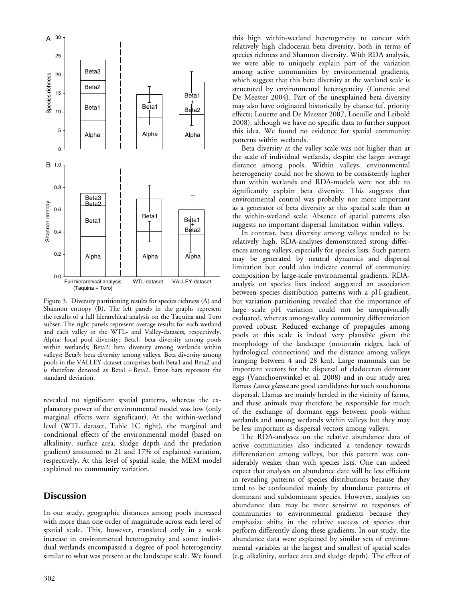

Figure 3. Diversity partitioning results for species richness (A) and Shannon entropy (B). The left panels in the graphs represent the results of a full hierarchical analysis on the Taquina and Toro subset. The right panels represent average results for each wetland and each valley in the WTL- and Valley-datasets, respectively. Alpha: local pool diversity; Beta1: beta diversity among pools within wetlands; Beta2: beta diversity among wetlands within valleys; Beta3: beta diversity among valleys. Beta diversity among pools in the VALLEY-dataset comprises both Beta1 and Beta2 and is therefore denoted as  $Beta1 + Beta2$ . Error bars represent the standard deviation.

revealed no significant spatial patterns, whereas the explanatory power of the environmental model was low (only marginal effects were significant). At the within-wetland level (WTL dataset, Table 1C right), the marginal and conditional effects of the environmental model (based on alkalinity, surface area, sludge depth and the predation gradient) amounted to 21 and 17% of explained variation, respectively. At this level of spatial scale, the MEM model explained no community variation.

# **Discussion**

In our study, geographic distances among pools increased with more than one order of magnitude across each level of spatial scale. This, however, translated only in a weak increase in environmental heterogeneity and some individual wetlands encompassed a degree of pool heterogeneity similar to what was present at the landscape scale. We found

this high within-wetland heterogeneity to concur with relatively high cladoceran beta diversity, both in terms of species richness and Shannon diversity. With RDA analysis, we were able to uniquely explain part of the variation among active communities by environmental gradients, which suggest that this beta diversity at the wetland scale is structured by environmental heterogeneity (Cottenie and De Meester 2004). Part of the unexplained beta diversity may also have originated historically by chance (cf. priority effects; Louette and De Meester 2007, Loeuille and Leibold 2008), although we have no specific data to further support this idea. We found no evidence for spatial community patterns within wetlands.

Beta diversity at the valley scale was not higher than at the scale of individual wetlands, despite the larger average distance among pools. Within valleys, environmental heterogeneity could not be shown to be consistently higher than within wetlands and RDA-models were not able to significantly explain beta diversity. This suggests that environmental control was probably not more important as a generator of beta diversity at this spatial scale than at the within-wetland scale. Absence of spatial patterns also suggests no important dispersal limitation within valleys.

In contrast, beta diversity among valleys tended to be relatively high. RDA-analyses demonstrated strong differences among valleys, especially for species lists. Such pattern may be generated by neutral dynamics and dispersal limitation but could also indicate control of community composition by large-scale environmental gradients. RDAanalysis on species lists indeed suggested an association between species distribution patterns with a pH-gradient, but variation partitioning revealed that the importance of large scale pH variation could not be unequivocally evaluated, whereas among-valley community differentiation proved robust. Reduced exchange of propagules among pools at this scale is indeed very plausible given the morphology of the landscape (mountain ridges, lack of hydrological connections) and the distance among valleys (ranging between 4 and 28 km). Large mammals can be important vectors for the dispersal of cladoceran dormant eggs (Vanschoenwinkel et al. 2008) and in our study area llamas Lama glama are good candidates for such zoochorous dispersal. Llamas are mainly herded in the vicinity of farms, and these animals may therefore be responsible for much of the exchange of dormant eggs between pools within wetlands and among wetlands within valleys but they may be less important as dispersal vectors among valleys.

The RDA-analyses on the relative abundance data of active communities also indicated a tendency towards differentiation among valleys, but this pattern was considerably weaker than with species lists. One can indeed expect that analyses on abundance date will be less efficient in revealing patterns of species distributions because they tend to be confounded mainly by abundance patterns of dominant and subdominant species. However, analyses on abundance data may be more sensitive to responses of communities to environmental gradients because they emphasize shifts in the relative success of species that perform differently along these gradients. In our study, the abundance data were explained by similar sets of environmental variables at the largest and smallest of spatial scales (e.g. alkalinity, surface area and sludge depth). The effect of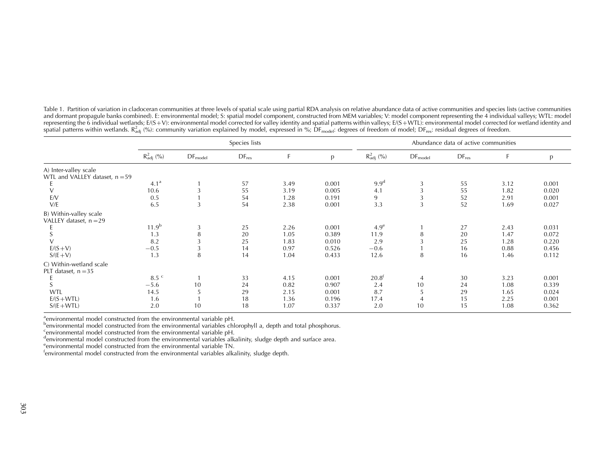Table 1. Partition of variation in cladoceran communities at three levels of spatial scale using partial RDA analysis on relative abundance data of active communities and species lists (active communities and dormant propagule banks combined). E: environmental model; S: spatial model component, constructed from MEM variables; V: model component representing the 4 individual valleys; WTL: model representing the 6 individual wetlands; E/(S+V): environmental model corrected for valley identity and spatial patterns within valleys; E/(S+WTL): environmental model corrected for wetland identity and<br>spatial patterns wit

|                                                           | Species lists          |              |                              |      |       | Abundance data of active communities |              |            |      |       |
|-----------------------------------------------------------|------------------------|--------------|------------------------------|------|-------|--------------------------------------|--------------|------------|------|-------|
|                                                           | $R_{\text{adj}}^2$ (%) | $DF_{model}$ | $\mathsf{DF}_{\mathsf{res}}$ | F    | p     | $R_{\text{adj}}^2$ (%)               | $DF_{model}$ | $DF_{res}$ | F    | p     |
| A) Inter-valley scale<br>WTL and VALLEY dataset, $n = 59$ |                        |              |                              |      |       |                                      |              |            |      |       |
|                                                           | 4.1 <sup>a</sup>       |              | 57                           | 3.49 | 0.001 | 9.9 <sup>d</sup>                     | 3            | 55         | 3.12 | 0.001 |
|                                                           | 10.6                   |              | 55                           | 3.19 | 0.005 | 4.1                                  |              | 55         | 1.82 | 0.020 |
| E/V                                                       | 0.5                    |              | 54                           | 1.28 | 0.191 | 9                                    |              | 52         | 2.91 | 0.001 |
| V/E                                                       | 6.5                    | 3            | 54                           | 2.38 | 0.001 | 3.3                                  | 3            | 52         | 1.69 | 0.027 |
| B) Within-valley scale<br>VALLEY dataset, $n = 29$        |                        |              |                              |      |       |                                      |              |            |      |       |
|                                                           | $11.9^{b}$             | 3            | 25                           | 2.26 | 0.001 | 4.9 <sup>e</sup>                     |              | 27         | 2.43 | 0.031 |
|                                                           | 1.3                    | 8            | 20                           | 1.05 | 0.389 | 11.9                                 | 8            | 20         | 1.47 | 0.072 |
|                                                           | 8.2                    | 3            | 25                           | 1.83 | 0.010 | 2.9                                  |              | 25         | 1.28 | 0.220 |
| $E/(S + V)$                                               | $-0.5$                 | 3            | 14                           | 0.97 | 0.526 | $-0.6$                               |              | 16         | 0.88 | 0.456 |
| $S/(E+V)$                                                 | 1.3                    | 8            | 14                           | 1.04 | 0.433 | 12.6                                 | 8            | 16         | 1.46 | 0.112 |
| C) Within-wetland scale<br>PLT dataset, $n = 35$          |                        |              |                              |      |       |                                      |              |            |      |       |
|                                                           | $8.5$ <sup>c</sup>     |              | 33                           | 4.15 | 0.001 | $20.8^{\dagger}$                     | 4            | 30         | 3.23 | 0.001 |
|                                                           | $-5.6$                 | 10           | 24                           | 0.82 | 0.907 | 2.4                                  | 10           | 24         | 1.08 | 0.339 |
| WTL                                                       | 14.5                   |              | 29                           | 2.15 | 0.001 | 8.7                                  | 5            | 29         | 1.65 | 0.024 |
| $E/(S + WTL)$                                             | 1.6                    |              | 18                           | 1.36 | 0.196 | 17.4                                 | 4            | 15         | 2.25 | 0.001 |
| $S/(E+WTL)$                                               | 2.0                    | 10           | 18                           | 1.07 | 0.337 | 2.0                                  | 10           | 15         | 1.08 | 0.362 |

<sup>a</sup>environmental model constructed from the environmental variable pH.

benvironmental model constructed from the environmental variables chlorophyll a, depth and total phosphorus.

cenvironmental model constructed from the environmental variable pH.

denvironmental model constructed from the environmental variables alkalinity, sludge depth and surface area.

environmental model constructed from the environmental variable TN.

fenvironmental model constructed from the environmental variables alkalinity, sludge depth.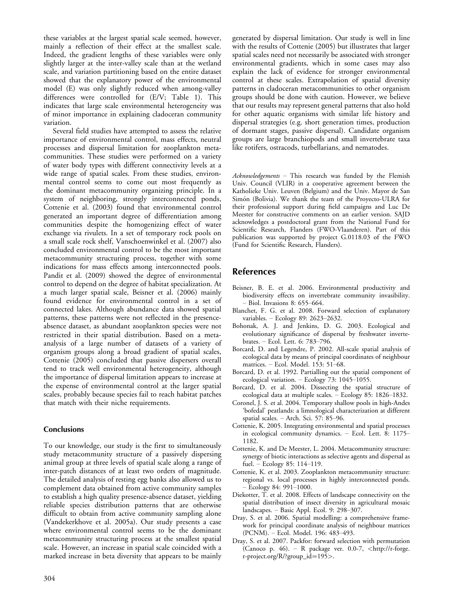these variables at the largest spatial scale seemed, however, mainly a reflection of their effect at the smallest scale. Indeed, the gradient lengths of these variables were only slightly larger at the inter-valley scale than at the wetland scale, and variation partitioning based on the entire dataset showed that the explanatory power of the environmental model (E) was only slightly reduced when among-valley differences were controlled for (E/V; Table 1). This indicates that large scale environmental heterogeneity was of minor importance in explaining cladoceran community variation.

Several field studies have attempted to assess the relative importance of environmental control, mass effects, neutral processes and dispersal limitation for zooplankton metacommunities. These studies were performed on a variety of water body types with different connectivity levels at a wide range of spatial scales. From these studies, environmental control seems to come out most frequently as the dominant metacommunity organizing principle. In a system of neighboring, strongly interconnected ponds, Cottenie et al. (2003) found that environmental control generated an important degree of differentiation among communities despite the homogenizing effect of water exchange via rivulets. In a set of temporary rock pools on a small scale rock shelf, Vanschoenwinkel et al. (2007) also concluded environmental control to be the most important metacommunity structuring process, together with some indications for mass effects among interconnected pools. Pandit et al. (2009) showed the degree of environmental control to depend on the degree of habitat specialization. At a much larger spatial scale, Beisner et al. (2006) mainly found evidence for environmental control in a set of connected lakes. Although abundance data showed spatial patterns, these patterns were not reflected in the presenceabsence dataset, as abundant zooplankton species were not restricted in their spatial distribution. Based on a metaanalysis of a large number of datasets of a variety of organism groups along a broad gradient of spatial scales, Cottenie (2005) concluded that passive dispersers overall tend to track well environmental heterogeneity, although the importance of dispersal limitation appears to increase at the expense of environmental control at the larger spatial scales, probably because species fail to reach habitat patches that match with their niche requirements.

#### **Conclusions**

To our knowledge, our study is the first to simultaneously study metacommunity structure of a passively dispersing animal group at three levels of spatial scale along a range of inter-patch distances of at least two orders of magnitude. The detailed analysis of resting egg banks also allowed us to complement data obtained from active community samples to establish a high quality presence-absence dataset, yielding reliable species distribution patterns that are otherwise difficult to obtain from active community sampling alone (Vandekerkhove et al. 2005a). Our study presents a case where environmental control seems to be the dominant metacommunity structuring process at the smallest spatial scale. However, an increase in spatial scale coincided with a marked increase in beta diversity that appears to be mainly generated by dispersal limitation. Our study is well in line with the results of Cottenie (2005) but illustrates that larger spatial scales need not necessarily be associated with stronger environmental gradients, which in some cases may also explain the lack of evidence for stronger environmental control at these scales. Extrapolation of spatial diversity patterns in cladoceran metacommunities to other organism groups should be done with caution. However, we believe that our results may represent general patterns that also hold for other aquatic organisms with similar life history and dispersal strategies (e.g. short generation times, production of dormant stages, passive dispersal). Candidate organism groups are large branchiopods and small invertebrate taxa like rotifers, ostracods, turbellarians, and nematodes.

 $Acknowledgements$  - This research was funded by the Flemish Univ. Council (VLIR) in a cooperative agreement between the Katholieke Univ. Leuven (Belgium) and the Univ. Mayor de San Simón (Bolivia). We thank the team of the Proyecto-ULRA for their professional support during field campaigns and Luc De Meester for constructive comments on an earlier version. SAJD acknowledges a postdoctoral grant from the National Fund for Scientific Research, Flanders (FWO-Vlaanderen). Part of this publication was supported by project G.0118.03 of the FWO (Fund for Scientific Research, Flanders).

## References

- Beisner, B. E. et al. 2006. Environmental productivity and biodiversity effects on invertebrate community invasibility.  $-$  Biol. Invasions 8: 655-664.
- Blanchet, F. G. et al. 2008. Forward selection of explanatory variables. - Ecology 89: 2623-2632.
- Bohonak, A. J. and Jenkins, D. G. 2003. Ecological and evolutionary significance of dispersal by freshwater invertebrates. - Ecol. Lett. 6: 783-796.
- Borcard, D. and Legendre, P. 2002. All-scale spatial analysis of ecological data by means of principal coordinates of neighbour matrices. - Ecol. Model. 153: 51-68.
- Borcard, D. et al. 1992. Partialling out the spatial component of ecological variation.  $-$  Ecology 73: 1045-1055.
- Borcard, D. et al. 2004. Dissecting the spatial structure of ecological data at multiple scales. - Ecology 85: 1826-1832.
- Coronel, J. S. et al. 2004. Temporary shallow pools in high-Andes 'bofedal' peatlands: a limnological characterization at different spatial scales.  $-$  Arch. Sci. 57: 85-96.
- Cottenie, K. 2005. Integrating environmental and spatial processes in ecological community dynamics. - Ecol. Lett. 8: 1175-1182.
- Cottenie, K. and De Meester, L. 2004. Metacommunity structure: synergy of biotic interactions as selective agents and dispersal as fuel.  $-$  Ecology 85: 114-119.
- Cottenie, K. et al. 2003. Zooplankton metacommunity structure: regional vs. local processes in highly interconnected ponds.  $-$  Ecology 84: 991 $-1000$ .
- Diekotter, T. et al. 2008. Effects of landscape connectivity on the spatial distribution of insect diversity in agricultural mosaic landscapes.  $-$  Basic Appl. Ecol. 9: 298-307.
- Dray, S. et al. 2006. Spatial modelling: a comprehensive framework for principal coordinate analysis of neighbour matrices (PCNM). - Ecol. Model. 196: 483-493.
- Dray, S. et al. 2007. Packfor: forward selection with permutation (Canoco p. 46). – R package ver. 0.0-7,  $\lt$ [http://r-forge.](http://r-forge.r-project.org/R/?group_id=195) [r-project.org/R/?group\\_id](http://r-forge.r-project.org/R/?group_id=195)= $195$ >.